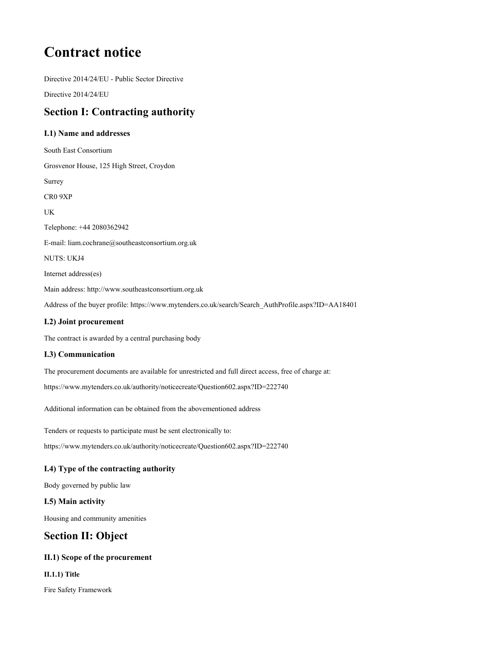# **Contract notice**

**Directive 2014/24/EU - Public Sector Directive**

**Directive 2014/24/EU**

## **Section I: Contracting authority**

## **I.1) Name and addresses**

**South East Consortium Grosvenor House, 125 High Street, Croydon Surrey CR0 9XP UK Telephone: +44 2080362942 E-mail: liam.cochrane@southeastconsortium.org.uk NUTS: UKJ4 Internet address(es) Main address: http://www.southeastconsortium.org.uk Address of the buyer profile: https://www.mytenders.co.uk/search/Search\_AuthProfile.aspx?ID=AA18401**

## **I.2) Joint procurement**

**The contract is awarded by a central purchasing body**

## **I.3) Communication**

**The procurement documents are available for unrestricted and full direct access, free of charge at: https://www.mytenders.co.uk/authority/noticecreate/Question602.aspx?ID=222740**

**Additional information can be obtained from the abovementioned address**

**Tenders or requests to participate must be sent electronically to:**

**https://www.mytenders.co.uk/authority/noticecreate/Question602.aspx?ID=222740**

## **I.4) Type of the contracting authority**

**Body governed by public law**

## **I.5) Main activity**

**Housing and community amenities**

## **Section II: Object**

## **II.1) Scope of the procurement**

**II.1.1) Title**

**Fire Safety Framework**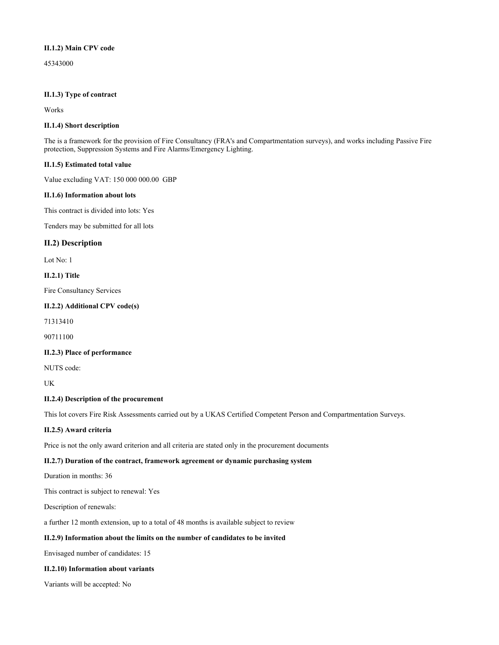#### **II.1.2) Main CPV code**

**45343000**

#### **II.1.3) Type of contract**

**Works**

#### **II.1.4) Short description**

The is a framework for the provision of Fire Consultancy (FRA's and Compartmentation surveys), and works including Passive Fire **protection, Suppression Systems and Fire Alarms/Emergency Lighting.**

#### **II.1.5) Estimated total value**

**Value excluding VAT: 150 000 000.00 GBP**

#### **II.1.6) Information about lots**

**This contract is divided into lots: Yes**

**Tenders may be submitted for all lots**

#### **II.2) Description**

**Lot No: 1**

#### **II.2.1) Title**

**Fire Consultancy Services**

#### **II.2.2) Additional CPV code(s)**

**71313410**

**90711100**

#### **II.2.3) Place of performance**

**NUTS code:**

**UK**

#### **II.2.4) Description of the procurement**

This lot covers Fire Risk Assessments carried out by a UKAS Certified Competent Person and Compartmentation Surveys.

#### **II.2.5) Award criteria**

**Price is not the only award criterion and all criteria are stated only in the procurement documents**

#### **II.2.7) Duration of the contract, framework agreement or dynamic purchasing system**

**Duration in months: 36**

**This contract is subject to renewal: Yes**

**Description of renewals:**

**a further 12 month extension, up to a total of 48 months is available subject to review**

#### **II.2.9) Information about the limits on the number of candidates to be invited**

**Envisaged number of candidates: 15**

#### **II.2.10) Information about variants**

**Variants will be accepted: No**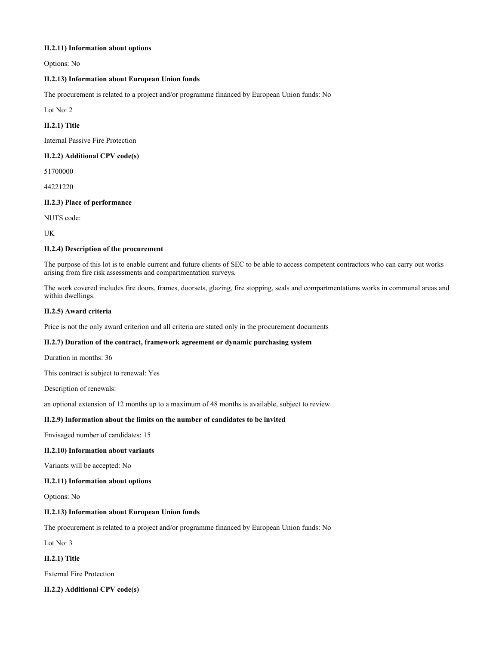#### **II.2.11) Information about options**

**Options: No**

#### **II.2.13) Information about European Union funds**

**The procurement is related to a project and/or programme financed by European Union funds: No**

**Lot No: 2**

#### **II.2.1) Title**

**Internal Passive Fire Protection**

#### **II.2.2) Additional CPV code(s)**

**51700000**

**44221220**

#### **II.2.3) Place of performance**

**NUTS code:**

**UK**

#### **II.2.4) Description of the procurement**

The purpose of this lot is to enable current and future clients of SEC to be able to access competent contractors who can carry out works **arising from fire risk assessments and compartmentation surveys.**

The work covered includes fire doors, frames, doorsets, glazing, fire stopping, seals and compartmentations works in communal areas and **within dwellings.**

#### **II.2.5) Award criteria**

**Price is not the only award criterion and all criteria are stated only in the procurement documents**

#### **II.2.7) Duration of the contract, framework agreement or dynamic purchasing system**

**Duration in months: 36**

**This contract is subject to renewal: Yes**

**Description of renewals:**

**an optional extension of 12 months up to a maximum of 48 months is available, subject to review**

#### **II.2.9) Information about the limits on the number of candidates to be invited**

**Envisaged number of candidates: 15**

#### **II.2.10) Information about variants**

**Variants will be accepted: No**

#### **II.2.11) Information about options**

**Options: No**

#### **II.2.13) Information about European Union funds**

**The procurement is related to a project and/or programme financed by European Union funds: No**

**Lot No: 3**

#### **II.2.1) Title**

**External Fire Protection**

#### **II.2.2) Additional CPV code(s)**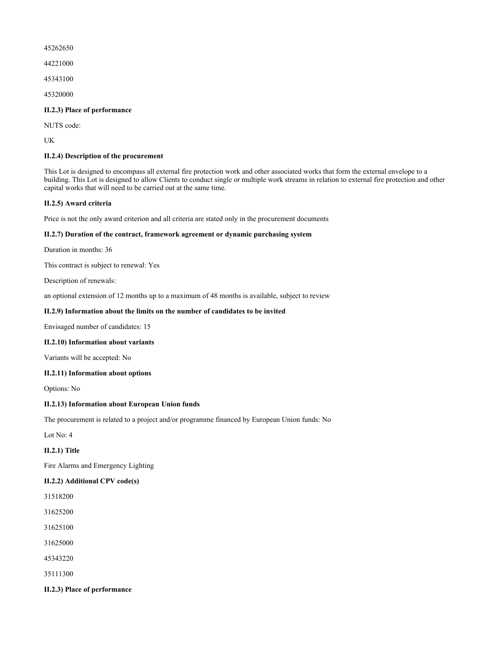**45262650**

**44221000**

**45343100**

**45320000**

#### **II.2.3) Place of performance**

**NUTS code:**

**UK**

#### **II.2.4) Description of the procurement**

This Lot is designed to encompass all external fire protection work and other associated works that form the external envelope to a building. This Lot is designed to allow Clients to conduct single or multiple work streams in relation to external fire protection and other **capital works that will need to be carried out at the same time.**

#### **II.2.5) Award criteria**

**Price is not the only award criterion and all criteria are stated only in the procurement documents**

### **II.2.7) Duration of the contract, framework agreement or dynamic purchasing system**

**Duration in months: 36**

**This contract is subject to renewal: Yes**

**Description of renewals:**

**an optional extension of 12 months up to a maximum of 48 months is available, subject to review**

#### **II.2.9) Information about the limits on the number of candidates to be invited**

**Envisaged number of candidates: 15**

#### **II.2.10) Information about variants**

**Variants will be accepted: No**

#### **II.2.11) Information about options**

**Options: No**

#### **II.2.13) Information about European Union funds**

**The procurement is related to a project and/or programme financed by European Union funds: No**

**Lot No: 4**

**II.2.1) Title**

**Fire Alarms and Emergency Lighting**

#### **II.2.2) Additional CPV code(s)**

**31518200**

**31625200**

**31625100**

**31625000**

**45343220**

**35111300**

**II.2.3) Place of performance**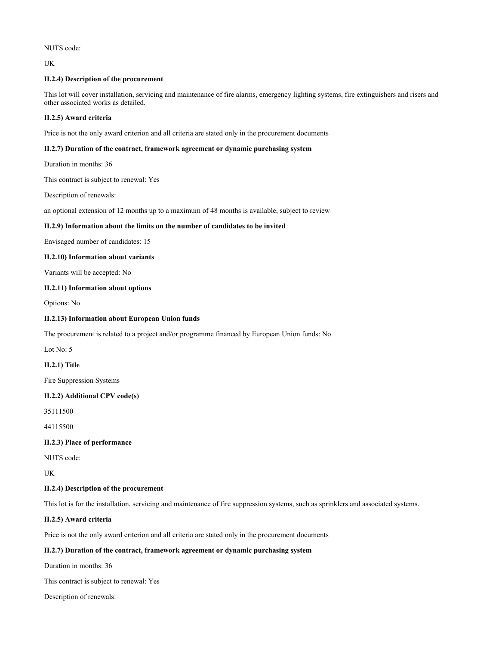**NUTS code:**

**UK**

#### **II.2.4) Description of the procurement**

This lot will cover installation, servicing and maintenance of fire alarms, emergency lighting systems, fire extinguishers and risers and **other associated works as detailed.**

#### **II.2.5) Award criteria**

**Price is not the only award criterion and all criteria are stated only in the procurement documents**

#### **II.2.7) Duration of the contract, framework agreement or dynamic purchasing system**

**Duration in months: 36**

**This contract is subject to renewal: Yes**

**Description of renewals:**

**an optional extension of 12 months up to a maximum of 48 months is available, subject to review**

#### **II.2.9) Information about the limits on the number of candidates to be invited**

**Envisaged number of candidates: 15**

#### **II.2.10) Information about variants**

**Variants will be accepted: No**

#### **II.2.11) Information about options**

**Options: No**

#### **II.2.13) Information about European Union funds**

**The procurement is related to a project and/or programme financed by European Union funds: No**

**Lot No: 5**

**II.2.1) Title**

**Fire Suppression Systems**

#### **II.2.2) Additional CPV code(s)**

**35111500**

**44115500**

#### **II.2.3) Place of performance**

**NUTS code:**

**UK**

#### **II.2.4) Description of the procurement**

This lot is for the installation, servicing and maintenance of fire suppression systems, such as sprinklers and associated systems.

#### **II.2.5) Award criteria**

**Price is not the only award criterion and all criteria are stated only in the procurement documents**

#### **II.2.7) Duration of the contract, framework agreement or dynamic purchasing system**

**Duration in months: 36**

**This contract is subject to renewal: Yes**

**Description of renewals:**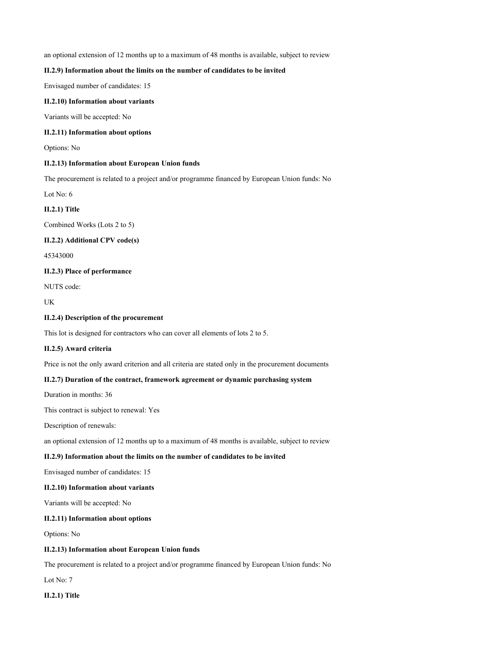**an optional extension of 12 months up to a maximum of 48 months is available, subject to review**

#### **II.2.9) Information about the limits on the number of candidates to be invited**

**Envisaged number of candidates: 15**

#### **II.2.10) Information about variants**

**Variants will be accepted: No**

#### **II.2.11) Information about options**

**Options: No**

#### **II.2.13) Information about European Union funds**

**The procurement is related to a project and/or programme financed by European Union funds: No**

**Lot No: 6**

#### **II.2.1) Title**

**Combined Works (Lots 2 to 5)**

#### **II.2.2) Additional CPV code(s)**

**45343000**

#### **II.2.3) Place of performance**

**NUTS code:**

**UK**

#### **II.2.4) Description of the procurement**

**This lot is designed for contractors who can cover all elements of lots 2 to 5.**

#### **II.2.5) Award criteria**

**Price is not the only award criterion and all criteria are stated only in the procurement documents**

#### **II.2.7) Duration of the contract, framework agreement or dynamic purchasing system**

**Duration in months: 36**

**This contract is subject to renewal: Yes**

**Description of renewals:**

**an optional extension of 12 months up to a maximum of 48 months is available, subject to review**

#### **II.2.9) Information about the limits on the number of candidates to be invited**

**Envisaged number of candidates: 15**

#### **II.2.10) Information about variants**

**Variants will be accepted: No**

#### **II.2.11) Information about options**

**Options: No**

#### **II.2.13) Information about European Union funds**

**The procurement is related to a project and/or programme financed by European Union funds: No**

**Lot No: 7**

**II.2.1) Title**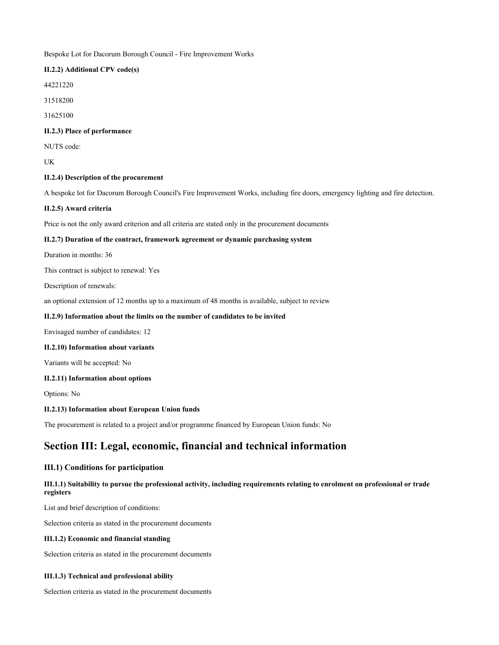**Bespoke Lot for Dacorum Borough Council - Fire Improvement Works**

#### **II.2.2) Additional CPV code(s)**

**44221220**

**31518200**

**31625100**

#### **II.2.3) Place of performance**

**NUTS code:**

**UK**

#### **II.2.4) Description of the procurement**

A bespoke lot for Dacorum Borough Council's Fire Improvement Works, including fire doors, emergency lighting and fire detection.

#### **II.2.5) Award criteria**

**Price is not the only award criterion and all criteria are stated only in the procurement documents**

#### **II.2.7) Duration of the contract, framework agreement or dynamic purchasing system**

**Duration in months: 36**

**This contract is subject to renewal: Yes**

**Description of renewals:**

**an optional extension of 12 months up to a maximum of 48 months is available, subject to review**

#### **II.2.9) Information about the limits on the number of candidates to be invited**

**Envisaged number of candidates: 12**

#### **II.2.10) Information about variants**

**Variants will be accepted: No**

#### **II.2.11) Information about options**

**Options: No**

#### **II.2.13) Information about European Union funds**

**The procurement is related to a project and/or programme financed by European Union funds: No**

## **Section III: Legal, economic, financial and technical information**

#### **III.1) Conditions for participation**

#### III.1.1) Suitability to pursue the professional activity, including requirements relating to enrolment on professional or trade **registers**

**List and brief description of conditions:**

**Selection criteria as stated in the procurement documents**

#### **III.1.2) Economic and financial standing**

**Selection criteria as stated in the procurement documents**

#### **III.1.3) Technical and professional ability**

**Selection criteria as stated in the procurement documents**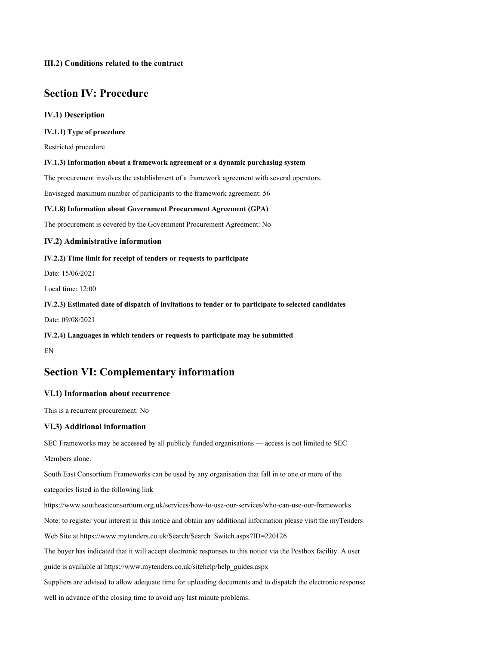## **Section IV: Procedure**

## **IV.1) Description**

**IV.1.1) Type of procedure**

**Restricted procedure**

#### **IV.1.3) Information about a framework agreement or a dynamic purchasing system**

**The procurement involves the establishment of a framework agreement with several operators.**

**Envisaged maximum number of participants to the framework agreement: 56**

#### **IV.1.8) Information about Government Procurement Agreement (GPA)**

**The procurement is covered by the Government Procurement Agreement: No**

#### **IV.2) Administrative information**

#### **IV.2.2) Time limit for receipt of tenders or requests to participate**

**Date: 15/06/2021**

**Local time: 12:00**

#### **IV.2.3) Estimated date of dispatch of invitations to tender or to participate to selected candidates**

**Date: 09/08/2021**

#### **IV.2.4) Languages in which tenders or requests to participate may be submitted**

**EN**

## **Section VI: Complementary information**

## **VI.1) Information about recurrence**

**This is a recurrent procurement: No**

#### **VI.3) Additional information**

**SEC Frameworks may be accessed by all publicly funded organisations — access is not limited to SEC**

**Members alone.**

South East Consortium Frameworks can be used by any organisation that fall in to one or more of the

**categories listed in the following link**

**https://www.southeastconsortium.org.uk/services/how-to-use-our-services/who-can-use-our-frameworks**

Note: to register your interest in this notice and obtain any additional information please visit the myTenders

**Web Site at https://www.mytenders.co.uk/Search/Search\_Switch.aspx?ID=220126**

The buyer has indicated that it will accept electronic responses to this notice via the Postbox facility. A user

**guide is available at https://www.mytenders.co.uk/sitehelp/help\_guides.aspx**

**Suppliers are advised to allow adequate time for uploading documents and to dispatch the electronic response well in advance of the closing time to avoid any last minute problems.**